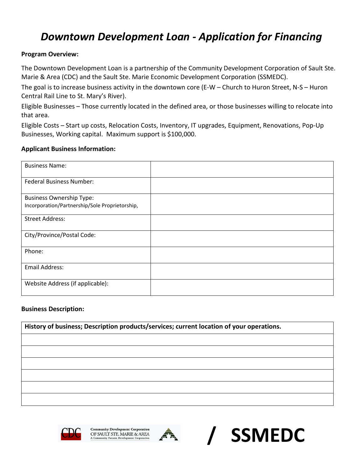# *Downtown Development Loan - Application for Financing*

# **Program Overview:**

The Downtown Development Loan is a partnership of the Community Development Corporation of Sault Ste. Marie & Area (CDC) and the Sault Ste. Marie Economic Development Corporation (SSMEDC).

The goal is to increase business activity in the downtown core (E-W – Church to Huron Street, N-S – Huron Central Rail Line to St. Mary's River).

Eligible Businesses – Those currently located in the defined area, or those businesses willing to relocate into that area.

Eligible Costs – Start up costs, Relocation Costs, Inventory, IT upgrades, Equipment, Renovations, Pop-Up Businesses, Working capital. Maximum support is \$100,000.

## **Applicant Business Information:**

| <b>Business Name:</b>                                                             |  |
|-----------------------------------------------------------------------------------|--|
| <b>Federal Business Number:</b>                                                   |  |
| <b>Business Ownership Type:</b><br>Incorporation/Partnership/Sole Proprietorship, |  |
| <b>Street Address:</b>                                                            |  |
| City/Province/Postal Code:                                                        |  |
| Phone:                                                                            |  |
| <b>Email Address:</b>                                                             |  |
| Website Address (if applicable):                                                  |  |

#### **Business Description:**

**History of business; Description products/services; current location of your operations.** 





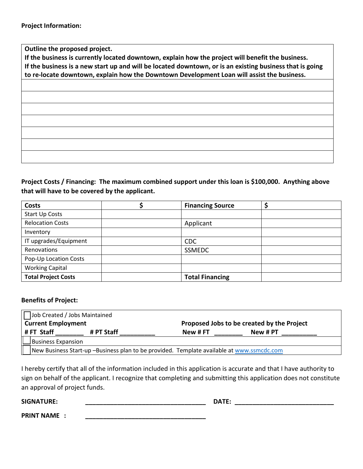**Outline the proposed project.** 

**If the business is currently located downtown, explain how the project will benefit the business. If the business is a new start up and will be located downtown, or is an existing business that is going to re-locate downtown, explain how the Downtown Development Loan will assist the business.** 

**Project Costs / Financing: The maximum combined support under this loan is \$100,000. Anything above that will have to be covered by the applicant.** 

| <b>Costs</b>               | <b>Financing Source</b> |  |
|----------------------------|-------------------------|--|
| <b>Start Up Costs</b>      |                         |  |
| <b>Relocation Costs</b>    | Applicant               |  |
| Inventory                  |                         |  |
| IT upgrades/Equipment      | <b>CDC</b>              |  |
| Renovations                | SSMEDC                  |  |
| Pop-Up Location Costs      |                         |  |
| <b>Working Capital</b>     |                         |  |
| <b>Total Project Costs</b> | <b>Total Financing</b>  |  |

#### **Benefits of Project:**

| Job Created / Jobs Maintained                                                             |            |                                            |          |  |
|-------------------------------------------------------------------------------------------|------------|--------------------------------------------|----------|--|
| <b>Current Employment</b>                                                                 |            | Proposed Jobs to be created by the Project |          |  |
| #FT Staff                                                                                 | # PT Staff | New # FT                                   | New # PT |  |
| Business Expansion                                                                        |            |                                            |          |  |
| New Business Start-up -Business plan to be provided. Template available at www.ssmcdc.com |            |                                            |          |  |

I hereby certify that all of the information included in this application is accurate and that I have authority to sign on behalf of the applicant. I recognize that completing and submitting this application does not constitute an approval of project funds.

**SIGNATURE: \_\_\_\_\_\_\_\_\_\_\_\_\_\_\_\_\_\_\_\_\_\_\_\_\_\_\_\_\_\_\_\_\_\_ DATE: \_\_\_\_\_\_\_\_\_\_\_\_\_\_\_\_\_\_\_\_\_\_\_\_\_\_\_\_**

**PRINT NAME : \_\_\_\_\_\_\_\_\_\_\_\_\_\_\_\_\_\_\_\_\_\_\_\_\_\_\_\_\_\_\_\_\_\_**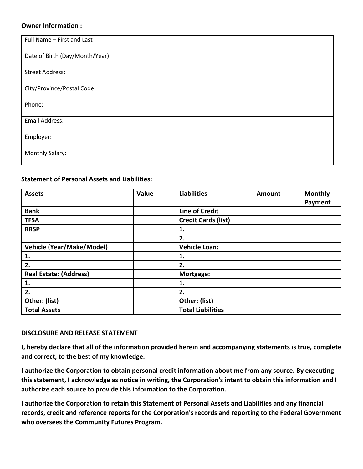#### **Owner Information :**

| Full Name - First and Last     |  |
|--------------------------------|--|
|                                |  |
| Date of Birth (Day/Month/Year) |  |
|                                |  |
|                                |  |
| <b>Street Address:</b>         |  |
|                                |  |
| City/Province/Postal Code:     |  |
|                                |  |
| Phone:                         |  |
|                                |  |
|                                |  |
| <b>Email Address:</b>          |  |
|                                |  |
| Employer:                      |  |
|                                |  |
|                                |  |
| Monthly Salary:                |  |
|                                |  |
|                                |  |

## **Statement of Personal Assets and Liabilities:**

| <b>Assets</b>                    | Value | <b>Liabilities</b>         | Amount | <b>Monthly</b><br>Payment |
|----------------------------------|-------|----------------------------|--------|---------------------------|
| <b>Bank</b>                      |       | <b>Line of Credit</b>      |        |                           |
| <b>TFSA</b>                      |       | <b>Credit Cards (list)</b> |        |                           |
| <b>RRSP</b>                      |       | 1.                         |        |                           |
|                                  |       | 2.                         |        |                           |
| <b>Vehicle (Year/Make/Model)</b> |       | <b>Vehicle Loan:</b>       |        |                           |
| 1.                               |       | 1.                         |        |                           |
| 2.                               |       | 2.                         |        |                           |
| <b>Real Estate: (Address)</b>    |       | Mortgage:                  |        |                           |
| 1.                               |       | 1.                         |        |                           |
| 2.                               |       | 2.                         |        |                           |
| Other: (list)                    |       | Other: (list)              |        |                           |
| <b>Total Assets</b>              |       | <b>Total Liabilities</b>   |        |                           |

#### **DISCLOSURE AND RELEASE STATEMENT**

**I, hereby declare that all of the information provided herein and accompanying statements is true, complete and correct, to the best of my knowledge.**

**I authorize the Corporation to obtain personal credit information about me from any source. By executing this statement, I acknowledge as notice in writing, the Corporation's intent to obtain this information and I authorize each source to provide this information to the Corporation.**

**I authorize the Corporation to retain this Statement of Personal Assets and Liabilities and any financial records, credit and reference reports for the Corporation's records and reporting to the Federal Government who oversees the Community Futures Program.**